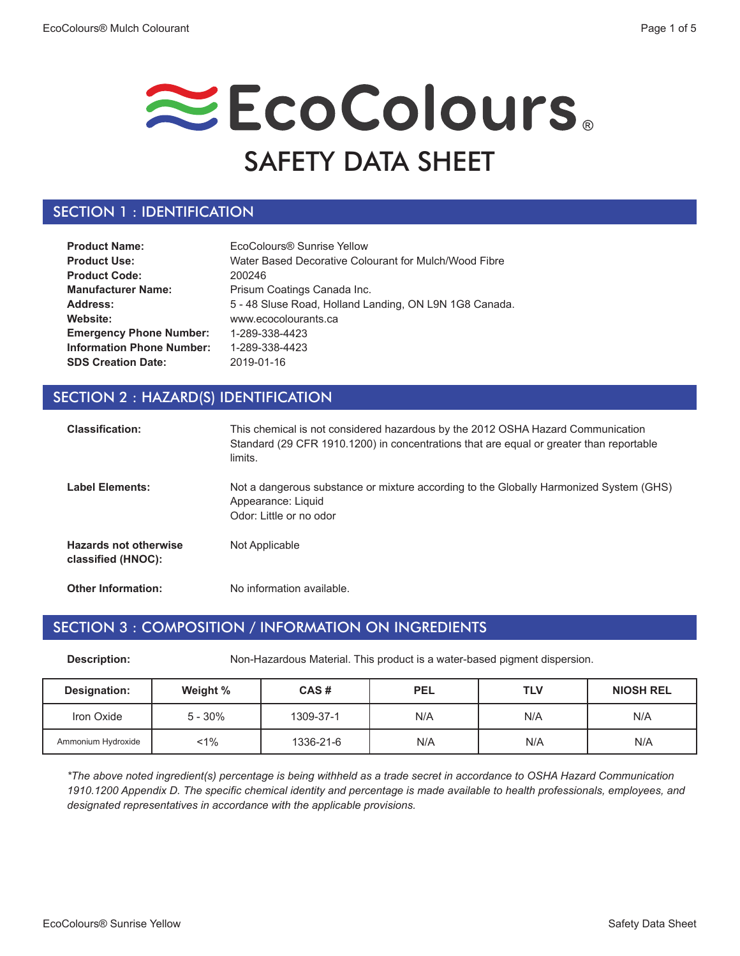# EcoColours. SAFETY DATA SHEET

# SECTION 1 : IDENTIFICATION

| <b>Product Name:</b>             | EcoColours® Sunrise Yellow                             |
|----------------------------------|--------------------------------------------------------|
| <b>Product Use:</b>              | Water Based Decorative Colourant for Mulch/Wood Fibre  |
| <b>Product Code:</b>             | 200246                                                 |
| <b>Manufacturer Name:</b>        | Prisum Coatings Canada Inc.                            |
| Address:                         | 5 - 48 Sluse Road, Holland Landing, ON L9N 1G8 Canada. |
| Website:                         | www.ecocolourants.ca                                   |
| <b>Emergency Phone Number:</b>   | 1-289-338-4423                                         |
| <b>Information Phone Number:</b> | 1-289-338-4423                                         |
| <b>SDS Creation Date:</b>        | 2019-01-16                                             |

# SECTION 2 : HAZARD(S) IDENTIFICATION

| <b>Classification:</b>                             | This chemical is not considered hazardous by the 2012 OSHA Hazard Communication<br>Standard (29 CFR 1910.1200) in concentrations that are equal or greater than reportable<br>limits. |
|----------------------------------------------------|---------------------------------------------------------------------------------------------------------------------------------------------------------------------------------------|
| <b>Label Elements:</b>                             | Not a dangerous substance or mixture according to the Globally Harmonized System (GHS)<br>Appearance: Liquid<br>Odor: Little or no odor                                               |
| <b>Hazards not otherwise</b><br>classified (HNOC): | Not Applicable                                                                                                                                                                        |
| <b>Other Information:</b>                          | No information available.                                                                                                                                                             |

### SECTION 3 : COMPOSITION / INFORMATION ON INGREDIENTS

**Description:** Non-Hazardous Material. This product is a water-based pigment dispersion.

| <b>Designation:</b> | Weight %   | CAS#      | <b>PEL</b> | <b>TLV</b> | <b>NIOSH REL</b> |
|---------------------|------------|-----------|------------|------------|------------------|
| Iron Oxide          | $5 - 30\%$ | 1309-37-1 | N/A        | N/A        | N/A              |
| Ammonium Hydroxide  | $1\%$      | 1336-21-6 | N/A        | N/A        | N/A              |

*\*The above noted ingredient(s) percentage is being withheld as a trade secret in accordance to OSHA Hazard Communication 1910.1200 Appendix D. The specific chemical identity and percentage is made available to health professionals, employees, and designated representatives in accordance with the applicable provisions.*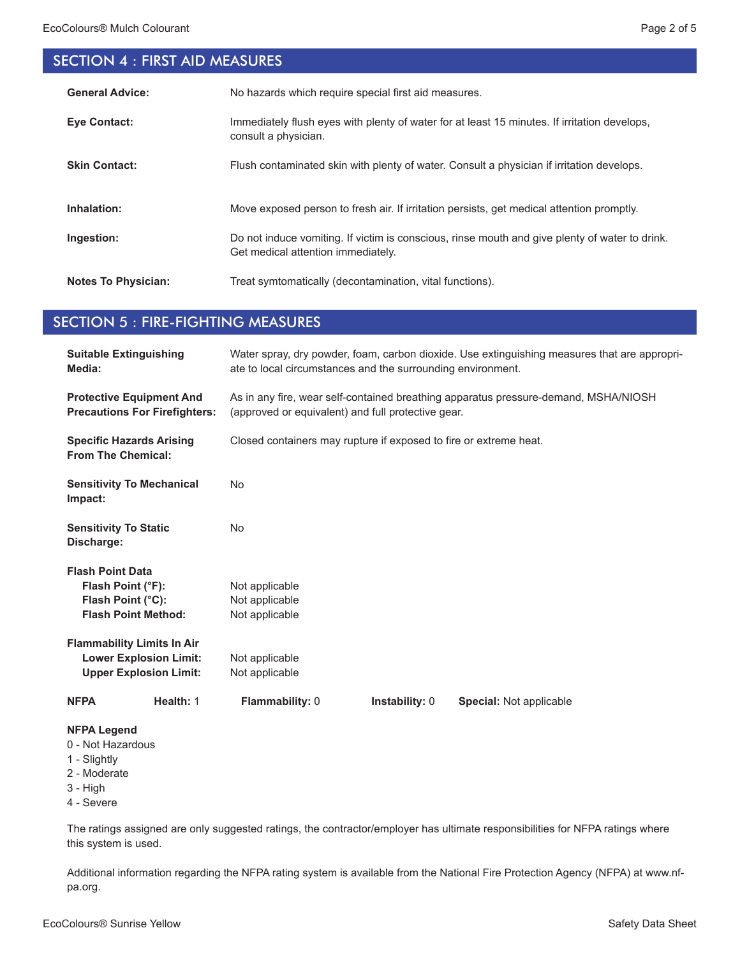# SECTION 4 : FIRST AID MEASURES

| <b>General Advice:</b>     | No hazards which require special first aid measures.                                                                                 |
|----------------------------|--------------------------------------------------------------------------------------------------------------------------------------|
| <b>Eve Contact:</b>        | Immediately flush eyes with plenty of water for at least 15 minutes. If irritation develops,<br>consult a physician.                 |
| <b>Skin Contact:</b>       | Flush contaminated skin with plenty of water. Consult a physician if irritation develops.                                            |
| Inhalation:                | Move exposed person to fresh air. If irritation persists, get medical attention promptly.                                            |
| Ingestion:                 | Do not induce vomiting. If victim is conscious, rinse mouth and give plenty of water to drink.<br>Get medical attention immediately. |
| <b>Notes To Physician:</b> | Treat symtomatically (decontamination, vital functions).                                                                             |

# SECTION 5 : FIRE-FIGHTING MEASURES

| <b>Suitable Extinguishing</b><br>Media:                                                             | Water spray, dry powder, foam, carbon dioxide. Use extinguishing measures that are appropri-<br>ate to local circumstances and the surrounding environment. |  |  |
|-----------------------------------------------------------------------------------------------------|-------------------------------------------------------------------------------------------------------------------------------------------------------------|--|--|
| <b>Protective Equipment And</b><br><b>Precautions For Firefighters:</b>                             | As in any fire, wear self-contained breathing apparatus pressure-demand, MSHA/NIOSH<br>(approved or equivalent) and full protective gear.                   |  |  |
| <b>Specific Hazards Arising</b><br><b>From The Chemical:</b>                                        | Closed containers may rupture if exposed to fire or extreme heat.                                                                                           |  |  |
| <b>Sensitivity To Mechanical</b><br>Impact:                                                         | <b>No</b>                                                                                                                                                   |  |  |
| <b>Sensitivity To Static</b><br>Discharge:                                                          | <b>No</b>                                                                                                                                                   |  |  |
| <b>Flash Point Data</b>                                                                             |                                                                                                                                                             |  |  |
| Flash Point (°F):                                                                                   | Not applicable                                                                                                                                              |  |  |
| Flash Point (°C):                                                                                   | Not applicable                                                                                                                                              |  |  |
| <b>Flash Point Method:</b>                                                                          | Not applicable                                                                                                                                              |  |  |
| <b>Flammability Limits In Air</b>                                                                   |                                                                                                                                                             |  |  |
| <b>Lower Explosion Limit:</b>                                                                       | Not applicable                                                                                                                                              |  |  |
| <b>Upper Explosion Limit:</b>                                                                       | Not applicable                                                                                                                                              |  |  |
| Health: 1<br><b>NFPA</b>                                                                            | Flammability: 0<br><b>Instability: 0</b><br><b>Special: Not applicable</b>                                                                                  |  |  |
| <b>NFPA Legend</b><br>0 - Not Hazardous<br>1 - Slightly<br>2 - Moderate<br>$3 - High$<br>4 - Severe |                                                                                                                                                             |  |  |

The ratings assigned are only suggested ratings, the contractor/employer has ultimate responsibilities for NFPA ratings where this system is used.

Additional information regarding the NFPA rating system is available from the National Fire Protection Agency (NFPA) at www.nfpa.org.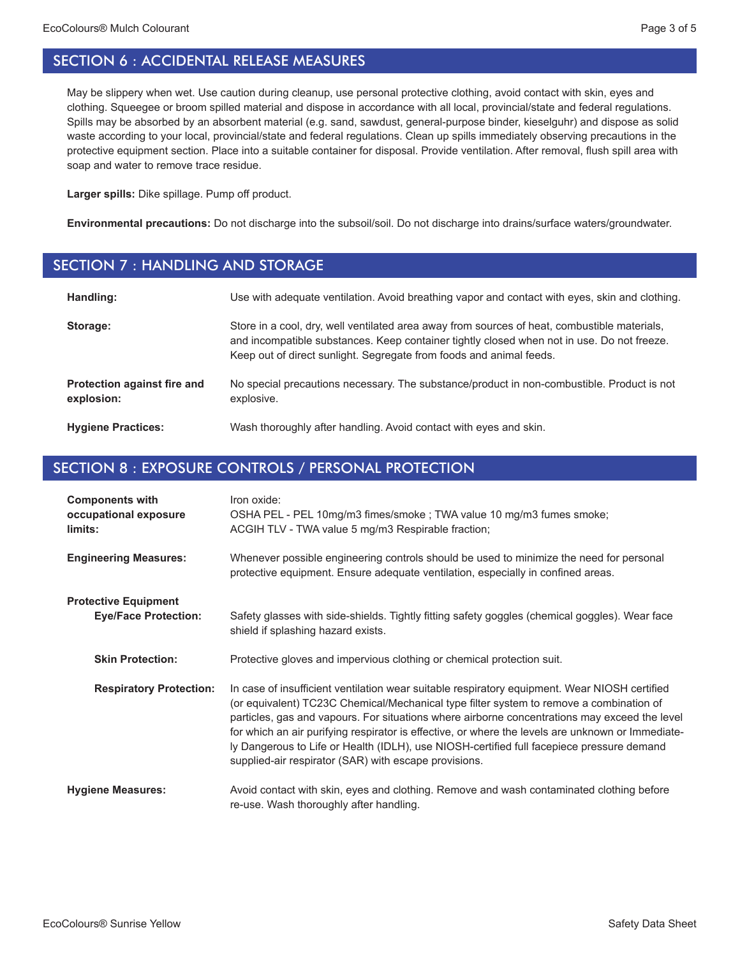May be slippery when wet. Use caution during cleanup, use personal protective clothing, avoid contact with skin, eyes and clothing. Squeegee or broom spilled material and dispose in accordance with all local, provincial/state and federal regulations. Spills may be absorbed by an absorbent material (e.g. sand, sawdust, general-purpose binder, kieselguhr) and dispose as solid waste according to your local, provincial/state and federal regulations. Clean up spills immediately observing precautions in the protective equipment section. Place into a suitable container for disposal. Provide ventilation. After removal, flush spill area with soap and water to remove trace residue.

**Larger spills:** Dike spillage. Pump off product.

**Environmental precautions:** Do not discharge into the subsoil/soil. Do not discharge into drains/surface waters/groundwater.

#### SECTION 7 : HANDLING AND STORAGE

| Handling:                                 | Use with adequate ventilation. Avoid breathing vapor and contact with eyes, skin and clothing.                                                                                                                                                                    |
|-------------------------------------------|-------------------------------------------------------------------------------------------------------------------------------------------------------------------------------------------------------------------------------------------------------------------|
| Storage:                                  | Store in a cool, dry, well ventilated area away from sources of heat, combustible materials,<br>and incompatible substances. Keep container tightly closed when not in use. Do not freeze.<br>Keep out of direct sunlight. Segregate from foods and animal feeds. |
| Protection against fire and<br>explosion: | No special precautions necessary. The substance/product in non-combustible. Product is not<br>explosive.                                                                                                                                                          |
| <b>Hygiene Practices:</b>                 | Wash thoroughly after handling. Avoid contact with eyes and skin.                                                                                                                                                                                                 |

# SECTION 8 : EXPOSURE CONTROLS / PERSONAL PROTECTION

| <b>Components with</b><br>occupational exposure<br>limits: | Iron oxide:<br>OSHA PEL - PEL 10mg/m3 fimes/smoke ; TWA value 10 mg/m3 fumes smoke;<br>ACGIH TLV - TWA value 5 mg/m3 Respirable fraction;                                                                                                                                                                                                                                                                                                                                                                                                            |
|------------------------------------------------------------|------------------------------------------------------------------------------------------------------------------------------------------------------------------------------------------------------------------------------------------------------------------------------------------------------------------------------------------------------------------------------------------------------------------------------------------------------------------------------------------------------------------------------------------------------|
| <b>Engineering Measures:</b>                               | Whenever possible engineering controls should be used to minimize the need for personal<br>protective equipment. Ensure adequate ventilation, especially in confined areas.                                                                                                                                                                                                                                                                                                                                                                          |
| <b>Protective Equipment</b><br><b>Eye/Face Protection:</b> | Safety glasses with side-shields. Tightly fitting safety goggles (chemical goggles). Wear face<br>shield if splashing hazard exists.                                                                                                                                                                                                                                                                                                                                                                                                                 |
| <b>Skin Protection:</b>                                    | Protective gloves and impervious clothing or chemical protection suit.                                                                                                                                                                                                                                                                                                                                                                                                                                                                               |
| <b>Respiratory Protection:</b>                             | In case of insufficient ventilation wear suitable respiratory equipment. Wear NIOSH certified<br>(or equivalent) TC23C Chemical/Mechanical type filter system to remove a combination of<br>particles, gas and vapours. For situations where airborne concentrations may exceed the level<br>for which an air purifying respirator is effective, or where the levels are unknown or Immediate-<br>ly Dangerous to Life or Health (IDLH), use NIOSH-certified full facepiece pressure demand<br>supplied-air respirator (SAR) with escape provisions. |
| <b>Hygiene Measures:</b>                                   | Avoid contact with skin, eyes and clothing. Remove and wash contaminated clothing before<br>re-use. Wash thoroughly after handling.                                                                                                                                                                                                                                                                                                                                                                                                                  |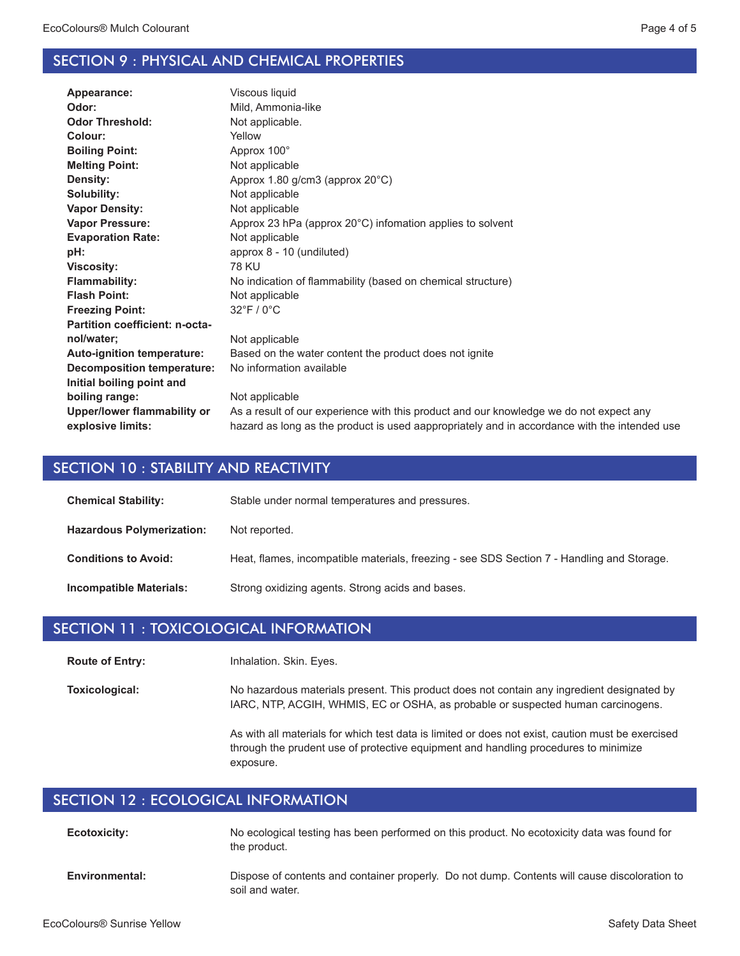# SECTION 9 : PHYSICAL AND CHEMICAL PROPERTIES

| Appearance:                       | Viscous liquid                                                                               |
|-----------------------------------|----------------------------------------------------------------------------------------------|
| Odor:                             | Mild, Ammonia-like                                                                           |
| <b>Odor Threshold:</b>            | Not applicable.                                                                              |
| Colour:                           | Yellow                                                                                       |
| <b>Boiling Point:</b>             | Approx 100°                                                                                  |
| <b>Melting Point:</b>             | Not applicable                                                                               |
| Density:                          | Approx 1.80 g/cm3 (approx 20°C)                                                              |
| Solubility:                       | Not applicable                                                                               |
| <b>Vapor Density:</b>             | Not applicable                                                                               |
| <b>Vapor Pressure:</b>            | Approx 23 hPa (approx 20°C) infomation applies to solvent                                    |
| <b>Evaporation Rate:</b>          | Not applicable                                                                               |
| pH:                               | approx 8 - 10 (undiluted)                                                                    |
| <b>Viscosity:</b>                 | <b>78 KU</b>                                                                                 |
| <b>Flammability:</b>              | No indication of flammability (based on chemical structure)                                  |
| <b>Flash Point:</b>               | Not applicable                                                                               |
| <b>Freezing Point:</b>            | $32^{\circ}$ F / 0 $^{\circ}$ C                                                              |
| Partition coefficient: n-octa-    |                                                                                              |
| nol/water;                        | Not applicable                                                                               |
| <b>Auto-ignition temperature:</b> | Based on the water content the product does not ignite                                       |
| <b>Decomposition temperature:</b> | No information available                                                                     |
| Initial boiling point and         |                                                                                              |
| boiling range:                    | Not applicable                                                                               |
| Upper/lower flammability or       | As a result of our experience with this product and our knowledge we do not expect any       |
| explosive limits:                 | hazard as long as the product is used aappropriately and in accordance with the intended use |
|                                   |                                                                                              |

# SECTION 10 : STABILITY AND REACTIVITY

| <b>Chemical Stability:</b>       | Stable under normal temperatures and pressures.                                            |
|----------------------------------|--------------------------------------------------------------------------------------------|
| <b>Hazardous Polymerization:</b> | Not reported.                                                                              |
| <b>Conditions to Avoid:</b>      | Heat, flames, incompatible materials, freezing - see SDS Section 7 - Handling and Storage. |
| Incompatible Materials:          | Strong oxidizing agents. Strong acids and bases.                                           |

#### SECTION 11 : TOXICOLOGICAL INFORMATION

Inhalation. Skin. Eyes. **Route of Entry:**

No hazardous materials present. This product does not contain any ingredient designated by IARC, NTP, ACGIH, WHMIS, EC or OSHA, as probable or suspected human carcinogens. **Toxicological:**

> As with all materials for which test data is limited or does not exist, caution must be exercised through the prudent use of protective equipment and handling procedures to minimize exposure.

# SECTION 12 : ECOLOGICAL INFORMATION

| <b>Ecotoxicity:</b> | No ecological testing has been performed on this product. No ecotoxicity data was found for<br>the product.      |
|---------------------|------------------------------------------------------------------------------------------------------------------|
| Environmental:      | Dispose of contents and container properly. Do not dump. Contents will cause discoloration to<br>soil and water. |